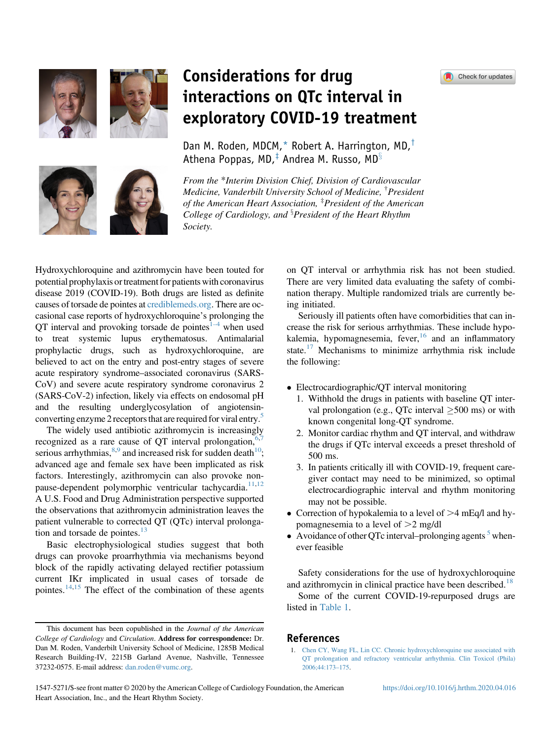





## Considerations for drug interactions on QTc interval in exploratory COVID-19 treatment

Dan M. Roden, MDCM,[\\*](#page-0-0) Robert A. Harrington, MD,[†](#page-0-1) Athena Poppas, MD,<sup>[‡](#page-0-2)</sup> Andrea M. Russo, MD<sup>§</sup>

<span id="page-0-2"></span><span id="page-0-1"></span><span id="page-0-0"></span>From the \*Interim Division Chief, Division of Cardiovascular Medicine, Vanderbilt University School of Medicine, † President of the American Heart Association, <sup>‡</sup>President of the American College of Cardiology, and <sup>§</sup>President of the Heart Rhythm Society.

Hydroxychloroquine and azithromycin have been touted for potential prophylaxis or treatment for patients with coronavirus disease 2019 (COVID-19). Both drugs are listed as definite causes of torsade de pointes at [crediblemeds.org](http://crediblemeds.org). There are occasional case reports of hydroxychloroquine's prolonging the QT interval and provoking torsade de pointes $1-4$  when used to treat systemic lupus erythematosus. Antimalarial prophylactic drugs, such as hydroxychloroquine, are believed to act on the entry and post-entry stages of severe acute respiratory syndrome–associated coronavirus (SARS-CoV) and severe acute respiratory syndrome coronavirus 2 (SARS-CoV-2) infection, likely via effects on endosomal pH and the resulting underglycosylation of angiotensinconverting enzyme 2 receptors that are required for viral entry.<sup>5</sup>

The widely used antibiotic azithromycin is increasingly recognized as a rare cause of QT interval prolongation, $6$ , serious arrhythmias,  $8.9$  $8.9$  and increased risk for sudden death  $10$ ; advanced age and female sex have been implicated as risk factors. Interestingly, azithromycin can also provoke non-pause-dependent polymorphic ventricular tachycardia.<sup>[11,](#page-1-6)[12](#page-1-7)</sup> A U.S. Food and Drug Administration perspective supported the observations that azithromycin administration leaves the patient vulnerable to corrected QT (QTc) interval prolongation and torsade de pointes. $13$ 

Basic electrophysiological studies suggest that both drugs can provoke proarrhythmia via mechanisms beyond block of the rapidly activating delayed rectifier potassium current IKr implicated in usual cases of torsade de pointes. $14,15$  $14,15$  The effect of the combination of these agents

on QT interval or arrhythmia risk has not been studied. There are very limited data evaluating the safety of combination therapy. Multiple randomized trials are currently being initiated.

Seriously ill patients often have comorbidities that can increase the risk for serious arrhythmias. These include hypokalemia, hypomagnesemia, fever, $16$  and an inflammatory state.[17](#page-1-12) Mechanisms to minimize arrhythmia risk include the following:

- Electrocardiographic/QT interval monitoring
	- 1. Withhold the drugs in patients with baseline QT interval prolongation (e.g., QTc interval  $\geq$ 500 ms) or with known congenital long-QT syndrome.
	- 2. Monitor cardiac rhythm and QT interval, and withdraw the drugs if QTc interval exceeds a preset threshold of 500 ms.
	- 3. In patients critically ill with COVID-19, frequent caregiver contact may need to be minimized, so optimal electrocardiographic interval and rhythm monitoring may not be possible.
- Correction of hypokalemia to a level of  $>4$  mEq/l and hypomagnesemia to a level of  $>2$  mg/dl
- $\bullet$  Avoidance of other QTc interval–prolonging agents  $\frac{5}{3}$  $\frac{5}{3}$  $\frac{5}{3}$  whenever feasible

Safety considerations for the use of hydroxychloroquine and azithromycin in clinical practice have been described.<sup>[18](#page-1-13)</sup>

Some of the current COVID-19-repurposed drugs are listed in [Table 1.](#page-1-14)

## References

This document has been copublished in the Journal of the American College of Cardiology and Circulation. Address for correspondence: Dr. Dan M. Roden, Vanderbilt University School of Medicine, 1285B Medical Research Building-IV, 2215B Garland Avenue, Nashville, Tennessee 37232-0575. E-mail address: [dan.roden@vumc.org.](mailto:dan.roden@vumc.org)

<span id="page-0-3"></span><sup>1.</sup> [Chen CY, Wang FL, Lin CC. Chronic hydroxychloroquine use associated with](http://refhub.elsevier.com/S1547-5271(20)30347-7/sref1) [QT prolongation and refractory ventricular arrhythmia. Clin Toxicol \(Phila\)](http://refhub.elsevier.com/S1547-5271(20)30347-7/sref1) [2006;44:173](http://refhub.elsevier.com/S1547-5271(20)30347-7/sref1)–175.